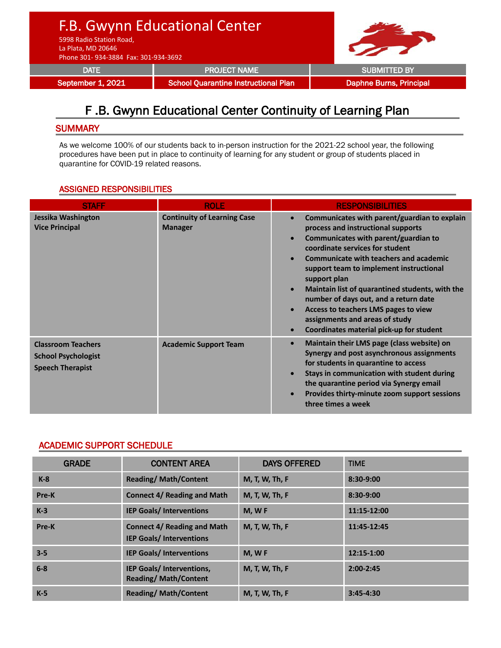F.B. Gwynn Educational Center

5998 Radio Station Road, La Plata, MD 20646

Phone 301- 934-3884 Fax: 301-934-3692

DATE **Example 20 SUBMITTED BY** PROJECT NAME

September 1, 2021 School Quarantine Instructional Plan Daphne Burns, Principal

**Our Mustang**

## F .B. Gwynn Educational Center Continuity of Learning Plan

## **SUMMARY**

As we welcome 100% of our students back to in-person instruction for the 2021-22 school year, the following procedures have been put in place to continuity of learning for any student or group of students placed in quarantine for COVID-19 related reasons.

## ASSIGNED RESPONSIBILITIES

| <b>STAFF</b>                                                                       | <b>ROLE</b>                                          | <b>RESPONSIBILITIES</b>                                                                                                                                                                                                                                                                                                                                                                                                                                                                                                                                                   |  |
|------------------------------------------------------------------------------------|------------------------------------------------------|---------------------------------------------------------------------------------------------------------------------------------------------------------------------------------------------------------------------------------------------------------------------------------------------------------------------------------------------------------------------------------------------------------------------------------------------------------------------------------------------------------------------------------------------------------------------------|--|
| Jessika Washington<br><b>Vice Principal</b>                                        | <b>Continuity of Learning Case</b><br><b>Manager</b> | Communicates with parent/guardian to explain<br>$\bullet$<br>process and instructional supports<br>Communicates with parent/guardian to<br>$\bullet$<br>coordinate services for student<br><b>Communicate with teachers and academic</b><br>$\bullet$<br>support team to implement instructional<br>support plan<br>Maintain list of quarantined students, with the<br>$\bullet$<br>number of days out, and a return date<br>Access to teachers LMS pages to view<br>$\bullet$<br>assignments and areas of study<br>Coordinates material pick-up for student<br>$\bullet$ |  |
| <b>Classroom Teachers</b><br><b>School Psychologist</b><br><b>Speech Therapist</b> | <b>Academic Support Team</b>                         | Maintain their LMS page (class website) on<br>$\bullet$<br>Synergy and post asynchronous assignments<br>for students in quarantine to access<br>Stays in communication with student during<br>$\bullet$<br>the quarantine period via Synergy email<br>Provides thirty-minute zoom support sessions<br>$\bullet$<br>three times a week                                                                                                                                                                                                                                     |  |

## ACADEMIC SUPPORT SCHEDULE

| <b>GRADE</b> | <b>CONTENT AREA</b>                                                  | <b>DAYS OFFERED</b> | <b>TIME</b>   |
|--------------|----------------------------------------------------------------------|---------------------|---------------|
| $K-8$        | <b>Reading/Math/Content</b>                                          | M, T, W, Th, F      | 8:30-9:00     |
| Pre-K        | <b>Connect 4/ Reading and Math</b>                                   | M, T, W, Th, F      | $8:30-9:00$   |
| $K-3$        | <b>IEP Goals/Interventions</b>                                       | $M.$ W F            | 11:15-12:00   |
| Pre-K        | <b>Connect 4/ Reading and Math</b><br><b>IEP Goals/Interventions</b> | M, T, W, Th, F      | 11:45-12:45   |
| $3 - 5$      | <b>IEP Goals/Interventions</b>                                       | M, WF               | 12:15-1:00    |
| $6 - 8$      | IEP Goals/ Interventions,<br><b>Reading/Math/Content</b>             | M, T, W, Th, F      | $2:00-2:45$   |
| $K-5$        | <b>Reading/Math/Content</b>                                          | M, T, W, Th, F      | $3:45 - 4:30$ |